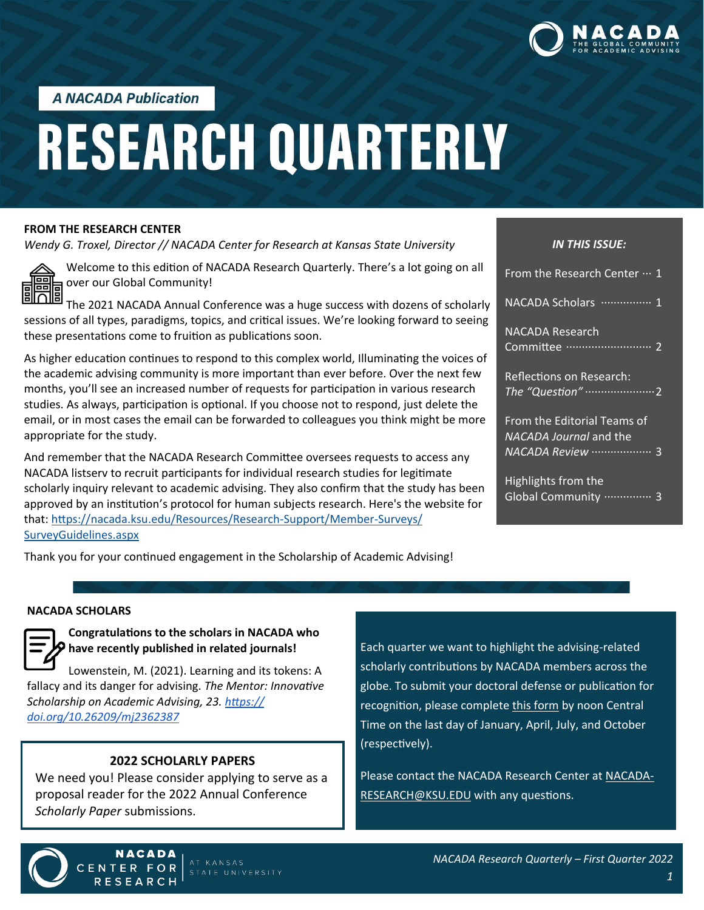

**A NACADA Publication** 

# **RESEARCH QUARTERLY**

#### **FROM THE RESEARCH CENTER**

*Wendy G. Troxel, Director // NACADA Center for Research at Kansas State University*



Welcome to this edition of NACADA Research Quarterly. There's a lot going on all over our Global Community!

The 2021 NACADA Annual Conference was a huge success with dozens of scholarly sessions of all types, paradigms, topics, and critical issues. We're looking forward to seeing these presentations come to fruition as publications soon.

As higher education continues to respond to this complex world, Illuminating the voices of the academic advising community is more important than ever before. Over the next few months, you'll see an increased number of requests for participation in various research studies. As always, participation is optional. If you choose not to respond, just delete the email, or in most cases the email can be forwarded to colleagues you think might be more appropriate for the study.

And remember that the NACADA Research Committee oversees requests to access any NACADA listserv to recruit participants for individual research studies for legitimate scholarly inquiry relevant to academic advising. They also confirm that the study has been approved by an institution's protocol for human subjects research. Here's the website for that: [https://nacada.ksu.edu/Resources/Research](https://nacada.ksu.edu/Resources/Research-Support/Member-Surveys/SurveyGuidelines.aspx)-Support/Member-Surveys/ [SurveyGuidelines.aspx](https://nacada.ksu.edu/Resources/Research-Support/Member-Surveys/SurveyGuidelines.aspx)

#### *IN THIS ISSUE:*

| From the Research Center $\cdots$ 1                   |
|-------------------------------------------------------|
| NACADA Scholars  1                                    |
| NACADA Research                                       |
| Reflections on Research:                              |
| From the Editorial Teams of<br>NACADA Journal and the |
| Highlights from the<br>Global Community  3            |

Thank you for your continued engagement in the Scholarship of Academic Advising!

#### **NACADA SCHOLARS**



# **Congratulations to the scholars in NACADA who have recently published in related journals!**

Lowenstein, M. (2021). Learning and its tokens: A fallacy and its danger for advising. *The Mentor: Innovative Scholarship on Academic Advising, 23. [https://](https://doi.org/10.26209/mj2362387) [doi.org/10.26209/mj2362387](https://doi.org/10.26209/mj2362387)*

# **2022 SCHOLARLY PAPERS**

We need you! Please consider applying to serve as a proposal reader for the 2022 Annual Conference *Scholarly Paper* submissions.

Each quarter we want to highlight the advising-related scholarly contributions by NACADA members across the globe. To submit your doctoral defense or publication for recognition, please complete [this form](https://bit.ly/NACADAScholars) by noon Central Time on the last day of January, April, July, and October (respectively).

Please contact the NACADA Research Center at [NACADA](mailto:NACADA-RESEARCH@KSU.EDU?subject=NACADA%20Scholars)-[RESEARCH@KSU.EDU](mailto:NACADA-RESEARCH@KSU.EDU?subject=NACADA%20Scholars) with any questions.



ENTER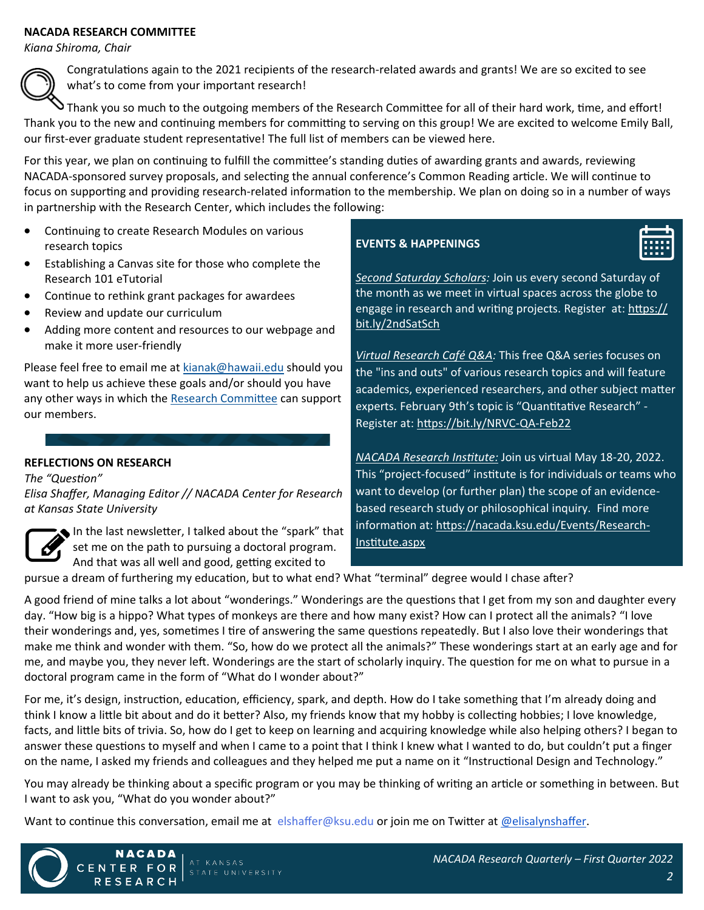#### **NACADA RESEARCH COMMITTEE**

*Kiana Shiroma, Chair*



Congratulations again to the 2021 recipients of the research-related awards and grants! We are so excited to see what's to come from your important research!

Thank you so much to the outgoing members of the Research Committee for all of their hard work, time, and effort! Thank you to the new and continuing members for committing to serving on this group! We are excited to welcome Emily Ball, our first-ever graduate student representative! The full list of members can be viewed here.

For this year, we plan on continuing to fulfill the committee's standing duties of awarding grants and awards, reviewing NACADA-sponsored survey proposals, and selecting the annual conference's Common Reading article. We will continue to focus on supporting and providing research-related information to the membership. We plan on doing so in a number of ways in partnership with the Research Center, which includes the following:

- Continuing to create Research Modules on various research topics
- Establishing a Canvas site for those who complete the Research 101 eTutorial
- Continue to rethink grant packages for awardees
- Review and update our curriculum
- Adding more content and resources to our webpage and make it more user-friendly

Please feel free to email me at [kianak@hawaii.edu](mailto:kianak@hawaii.edu) should you want to help us achieve these goals and/or should you have any other ways in which the [Research Committee](https://nacada.ksu.edu/About-Us/NACADA-Leadership/Administrative-Division/Research-Committee.aspx) can support our members.

# **REFLECTIONS ON RESEARCH**

*The "Question" Elisa Shaffer, Managing Editor // NACADA Center for Research at Kansas State University*



In the last newsletter, I talked about the "spark" that set me on the path to pursuing a doctoral program. And that was all well and good, getting excited to

# **EVENTS & HAPPENINGS**



*[Second Saturday Scholars:](https://nacada.ksu.edu/Resources/Research-Center/Writer-Support/Global-Writing-Days.aspx)* Join us every second Saturday of the month as we meet in virtual spaces across the globe to engage in research and writing projects. Register at: [https://](https://bit.ly/2ndSatSch) [bit.ly/2ndSatSch](https://bit.ly/2ndSatSch)

*[Virtual Research Café Q&A:](https://nacada.ksu.edu/Resources/Research-Center/Research-Skills-Tips.aspx)* This free Q&A series focuses on the "ins and outs" of various research topics and will feature academics, experienced researchers, and other subject matter experts. February 9th's topic is "Quantitative Research" - Register at: [https://bit.ly/NRVC](https://bit.ly/NRVC-QA-Feb22)-QA-Feb22

*[NACADA Research Institute:](https://nacada.ksu.edu/Events/Research-Institute.aspx)* Join us virtual May 18-20, 2022. This "project-focused" institute is for individuals or teams who want to develop (or further plan) the scope of an evidencebased research study or philosophical inquiry. Find more information at: [https://nacada.ksu.edu/Events/Research](https://nacada.ksu.edu/Events/Research-Institute.aspx)-[Institute.aspx](https://nacada.ksu.edu/Events/Research-Institute.aspx)

pursue a dream of furthering my education, but to what end? What "terminal" degree would I chase after?

A good friend of mine talks a lot about "wonderings." Wonderings are the questions that I get from my son and daughter every day. "How big is a hippo? What types of monkeys are there and how many exist? How can I protect all the animals? "I love their wonderings and, yes, sometimes I tire of answering the same questions repeatedly. But I also love their wonderings that make me think and wonder with them. "So, how do we protect all the animals?" These wonderings start at an early age and for me, and maybe you, they never left. Wonderings are the start of scholarly inquiry. The question for me on what to pursue in a doctoral program came in the form of "What do I wonder about?"

For me, it's design, instruction, education, efficiency, spark, and depth. How do I take something that I'm already doing and think I know a little bit about and do it better? Also, my friends know that my hobby is collecting hobbies; I love knowledge, facts, and little bits of trivia. So, how do I get to keep on learning and acquiring knowledge while also helping others? I began to answer these questions to myself and when I came to a point that I think I knew what I wanted to do, but couldn't put a finger on the name, I asked my friends and colleagues and they helped me put a name on it "Instructional Design and Technology."

You may already be thinking about a specific program or you may be thinking of writing an article or something in between. But I want to ask you, "What do you wonder about?"

Want to continue this conversation, email me at elshaffer@ksu.edu or join me on Twitter at [@elisalynshaffer.](https://twitter.com/elisalynshaffer)



**NACADA** 

RESEARCH

FOR

CENTER